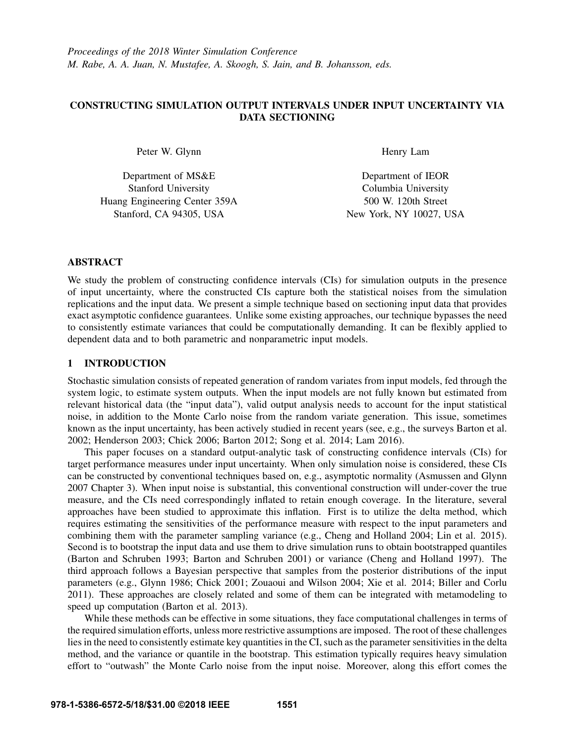# CONSTRUCTING SIMULATION OUTPUT INTERVALS UNDER INPUT UNCERTAINTY VIA DATA SECTIONING

Peter W. Glynn

Department of MS&E Stanford University Huang Engineering Center 359A Stanford, CA 94305, USA

Henry Lam

Department of IEOR Columbia University 500 W. 120th Street New York, NY 10027, USA

# ABSTRACT

We study the problem of constructing confidence intervals (CIs) for simulation outputs in the presence of input uncertainty, where the constructed CIs capture both the statistical noises from the simulation replications and the input data. We present a simple technique based on sectioning input data that provides exact asymptotic confidence guarantees. Unlike some existing approaches, our technique bypasses the need to consistently estimate variances that could be computationally demanding. It can be flexibly applied to dependent data and to both parametric and nonparametric input models.

# 1 INTRODUCTION

Stochastic simulation consists of repeated generation of random variates from input models, fed through the system logic, to estimate system outputs. When the input models are not fully known but estimated from relevant historical data (the "input data"), valid output analysis needs to account for the input statistical noise, in addition to the Monte Carlo noise from the random variate generation. This issue, sometimes known as the input uncertainty, has been actively studied in recent years (see, e.g., the surveys Barton et al. 2002; Henderson 2003; Chick 2006; Barton 2012; Song et al. 2014; Lam 2016).

This paper focuses on a standard output-analytic task of constructing confidence intervals (CIs) for target performance measures under input uncertainty. When only simulation noise is considered, these CIs can be constructed by conventional techniques based on, e.g., asymptotic normality (Asmussen and Glynn 2007 Chapter 3). When input noise is substantial, this conventional construction will under-cover the true measure, and the CIs need correspondingly inflated to retain enough coverage. In the literature, several approaches have been studied to approximate this inflation. First is to utilize the delta method, which requires estimating the sensitivities of the performance measure with respect to the input parameters and combining them with the parameter sampling variance (e.g., Cheng and Holland 2004; Lin et al. 2015). Second is to bootstrap the input data and use them to drive simulation runs to obtain bootstrapped quantiles (Barton and Schruben 1993; Barton and Schruben 2001) or variance (Cheng and Holland 1997). The third approach follows a Bayesian perspective that samples from the posterior distributions of the input parameters (e.g., Glynn 1986; Chick 2001; Zouaoui and Wilson 2004; Xie et al. 2014; Biller and Corlu 2011). These approaches are closely related and some of them can be integrated with metamodeling to speed up computation (Barton et al. 2013).

While these methods can be effective in some situations, they face computational challenges in terms of the required simulation efforts, unless more restrictive assumptions are imposed. The root of these challenges lies in the need to consistently estimate key quantities in the CI, such as the parameter sensitivities in the delta method, and the variance or quantile in the bootstrap. This estimation typically requires heavy simulation effort to "outwash" the Monte Carlo noise from the input noise. Moreover, along this effort comes the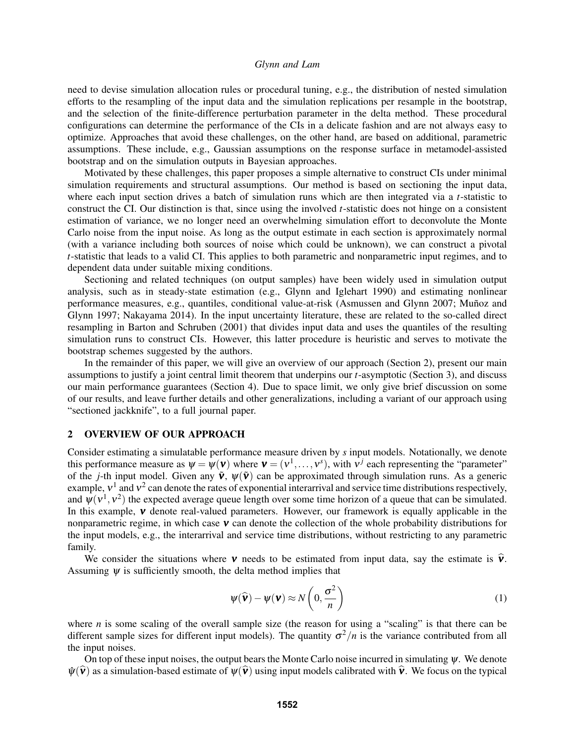need to devise simulation allocation rules or procedural tuning, e.g., the distribution of nested simulation efforts to the resampling of the input data and the simulation replications per resample in the bootstrap, and the selection of the finite-difference perturbation parameter in the delta method. These procedural configurations can determine the performance of the CIs in a delicate fashion and are not always easy to optimize. Approaches that avoid these challenges, on the other hand, are based on additional, parametric assumptions. These include, e.g., Gaussian assumptions on the response surface in metamodel-assisted bootstrap and on the simulation outputs in Bayesian approaches.

Motivated by these challenges, this paper proposes a simple alternative to construct CIs under minimal simulation requirements and structural assumptions. Our method is based on sectioning the input data, where each input section drives a batch of simulation runs which are then integrated via a *t*-statistic to construct the CI. Our distinction is that, since using the involved *t*-statistic does not hinge on a consistent estimation of variance, we no longer need an overwhelming simulation effort to deconvolute the Monte Carlo noise from the input noise. As long as the output estimate in each section is approximately normal (with a variance including both sources of noise which could be unknown), we can construct a pivotal *t*-statistic that leads to a valid CI. This applies to both parametric and nonparametric input regimes, and to dependent data under suitable mixing conditions.

Sectioning and related techniques (on output samples) have been widely used in simulation output analysis, such as in steady-state estimation (e.g., Glynn and Iglehart 1990) and estimating nonlinear performance measures, e.g., quantiles, conditional value-at-risk (Asmussen and Glynn 2007; Muñoz and Glynn 1997; Nakayama 2014). In the input uncertainty literature, these are related to the so-called direct resampling in Barton and Schruben (2001) that divides input data and uses the quantiles of the resulting simulation runs to construct CIs. However, this latter procedure is heuristic and serves to motivate the bootstrap schemes suggested by the authors.

In the remainder of this paper, we will give an overview of our approach (Section 2), present our main assumptions to justify a joint central limit theorem that underpins our *t*-asymptotic (Section 3), and discuss our main performance guarantees (Section 4). Due to space limit, we only give brief discussion on some of our results, and leave further details and other generalizations, including a variant of our approach using "sectioned jackknife", to a full journal paper.

# 2 OVERVIEW OF OUR APPROACH

Consider estimating a simulatable performance measure driven by *s* input models. Notationally, we denote this performance measure as  $\psi = \psi(\mathbf{v})$  where  $\mathbf{v} = (v^1, \dots, v^s)$ , with  $v^j$  each representing the "parameter" of the *j*-th input model. Given any  $\tilde{v}$ ,  $\psi(\tilde{v})$  can be approximated through simulation runs. As a generic example,  $v^1$  and  $v^2$  can denote the rates of exponential interarrival and service time distributions respectively, and  $\psi(\nu^1, \nu^2)$  the expected average queue length over some time horizon of a queue that can be simulated. In this example,  $v$  denote real-valued parameters. However, our framework is equally applicable in the nonparametric regime, in which case  $\bf{v}$  can denote the collection of the whole probability distributions for the input models, e.g., the interarrival and service time distributions, without restricting to any parametric family.

We consider the situations where **v** needs to be estimated from input data, say the estimate is  $\hat{v}$ . Assuming  $\psi$  is sufficiently smooth, the delta method implies that

$$
\psi(\widehat{\mathbf{v}}) - \psi(\mathbf{v}) \approx N\left(0, \frac{\sigma^2}{n}\right)
$$
 (1)

where *n* is some scaling of the overall sample size (the reason for using a "scaling" is that there can be different sample sizes for different input models). The quantity  $\sigma^2/n$  is the variance contributed from all the input noises.

On top of these input noises, the output bears the Monte Carlo noise incurred in simulating  $\psi$ . We denote  $\hat{\psi}(\hat{\mathbf{v}})$  as a simulation-based estimate of  $\psi(\hat{\mathbf{v}})$  using input models calibrated with  $\hat{\mathbf{v}}$ . We focus on the typical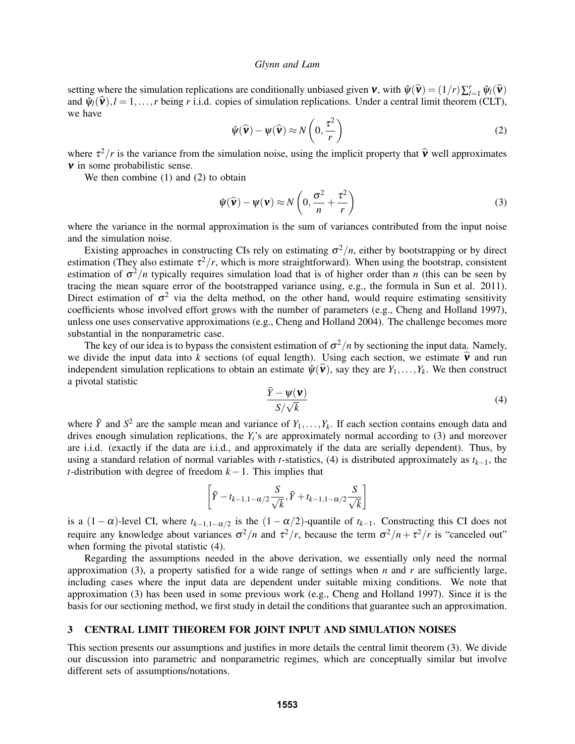setting where the simulation replications are conditionally unbiased given  $\mathbf{v}$ , with  $\hat{\psi}(\hat{\mathbf{v}}) = (1/r)\sum_{l=1}^{r} \hat{\psi}_l(\hat{\mathbf{v}})$ <br>and  $\hat{w}_l(\hat{\mathbf{v}})$ ,  $l=1$ , whene  $r$  i.i.d. conject of simulation repliestions. Un and  $\widetilde{\psi}_l(\widehat{\mathbf{v}}), l = 1, \ldots, r$  being *r* i.i.d. copies of simulation replications. Under a central limit theorem (CLT), we have

$$
\hat{\psi}(\hat{\mathbf{v}}) - \psi(\hat{\mathbf{v}}) \approx N\left(0, \frac{\tau^2}{r}\right)
$$
\n(2)

where  $\tau^2/r$  is the variance from the simulation noise, using the implicit property that  $\hat{v}$  well approximates  $\nu$  in some probabilistic sense.

We then combine (1) and (2) to obtain

$$
\hat{\psi}(\hat{\mathbf{v}}) - \psi(\mathbf{v}) \approx N\left(0, \frac{\sigma^2}{n} + \frac{\tau^2}{r}\right)
$$
\n(3)

where the variance in the normal approximation is the sum of variances contributed from the input noise and the simulation noise.

Existing approaches in constructing CIs rely on estimating  $\sigma^2/n$ , either by bootstrapping or by direct estimation (They also estimate  $\tau^2/r$ , which is more straightforward). When using the bootstrap, consistent estimation of σ <sup>2</sup>/*n* typically requires simulation load that is of higher order than *n* (this can be seen by tracing the mean square error of the bootstrapped variance using, e.g., the formula in Sun et al. 2011). Direct estimation of  $\sigma^2$  via the delta method, on the other hand, would require estimating sensitivity coefficients whose involved effort grows with the number of parameters (e.g., Cheng and Holland 1997), unless one uses conservative approximations (e.g., Cheng and Holland 2004). The challenge becomes more substantial in the nonparametric case.

The key of our idea is to bypass the consistent estimation of  $\sigma^2/n$  by sectioning the input data. Namely, we divide the input data into k sections (of equal length). Using each section, we estimate  $\hat{\mathbf{v}}$  and run independent simulation replications to obtain an estimate  $\hat{\psi}(\hat{\mathbf{v}})$ , say they are  $Y_1,\ldots,Y_k$ . We then construct a pivotal statistic

$$
\frac{\bar{Y} - \psi(\mathbf{v})}{S/\sqrt{k}}\tag{4}
$$

where  $\bar{Y}$  and  $S^2$  are the sample mean and variance of  $Y_1, \ldots, Y_k$ . If each section contains enough data and drives enough simulation replications, the *Yi*'s are approximately normal according to (3) and moreover are i.i.d. (exactly if the data are i.i.d., and approximately if the data are serially dependent). Thus, by using a standard relation of normal variables with *t*-statistics, (4) is distributed approximately as *tk*−1, the *t*-distribution with degree of freedom  $k - 1$ . This implies that

$$
\left[\bar{Y}-t_{k-1,1-\alpha/2}\frac{S}{\sqrt{k}}, \bar{Y}+t_{k-1,1-\alpha/2}\frac{S}{\sqrt{k}}\right]
$$

is a  $(1 - \alpha)$ -level CI, where  $t_{k-1,1-\alpha/2}$  is the  $(1 - \alpha/2)$ -quantile of  $t_{k-1}$ . Constructing this CI does not require any knowledge about variances  $\sigma^2/n$  and  $\tau^2/r$ , because the term  $\sigma^2/n + \tau^2/r$  is "canceled out" when forming the pivotal statistic (4).

Regarding the assumptions needed in the above derivation, we essentially only need the normal approximation (3), a property satisfied for a wide range of settings when *n* and *r* are sufficiently large, including cases where the input data are dependent under suitable mixing conditions. We note that approximation (3) has been used in some previous work (e.g., Cheng and Holland 1997). Since it is the basis for our sectioning method, we first study in detail the conditions that guarantee such an approximation.

# 3 CENTRAL LIMIT THEOREM FOR JOINT INPUT AND SIMULATION NOISES

This section presents our assumptions and justifies in more details the central limit theorem (3). We divide our discussion into parametric and nonparametric regimes, which are conceptually similar but involve different sets of assumptions/notations.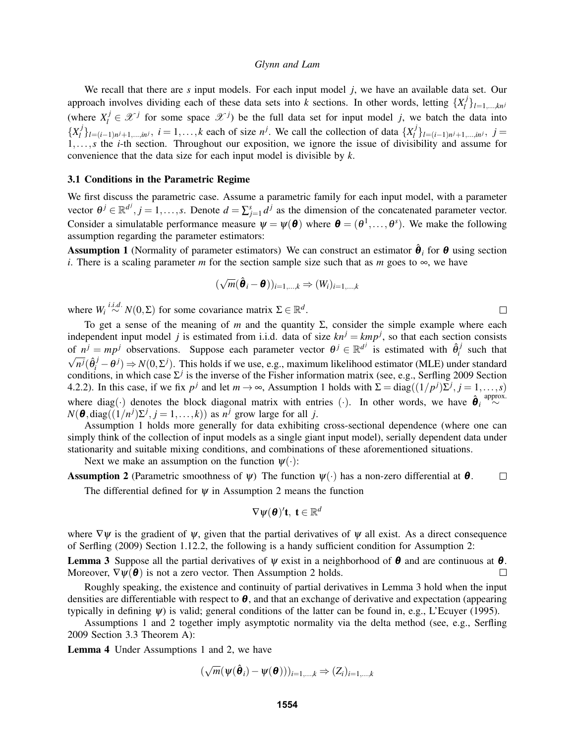We recall that there are *s* input models. For each input model *j*, we have an available data set. Our approach involves dividing each of these data sets into *k* sections. In other words, letting  $\{X_i^j\}$ *l* }*l*=1,...,*kn<sup>j</sup>* (where  $X_i^j \in \mathcal{X}^j$  for some space  $\mathcal{X}^j$ ) be the full data set for input model *j*, we batch the data into  ${X_i^j}$ *l*<sup>*j*</sup><sub>*l*</sub><sub>*l*</sub> =(*i*−1)*n*<sup>*j*</sup>+1,...,*in*<sup>*j*</sup>, *i* = 1,...,*k* each of size *n<sup><i>j*</sup>. We call the collection of data {*X<sub><i>j*</sub><sup>*l*</sup> *l* }*l*=(*i*−1)*<sup>n</sup> <sup>j</sup>*+1,...,*in<sup>j</sup>* , *j* = 1,...,*s* the *i*-th section. Throughout our exposition, we ignore the issue of divisibility and assume for convenience that the data size for each input model is divisible by *k*.

#### 3.1 Conditions in the Parametric Regime

We first discuss the parametric case. Assume a parametric family for each input model, with a parameter vector  $\theta^j \in \mathbb{R}^{d^j}, j = 1, \ldots, s$ . Denote  $d = \sum_{j=1}^s d^j$  as the dimension of the concatenated parameter vector. Consider a simulatable performance measure  $\psi = \psi(\theta)$  where  $\theta = (\theta^1, \dots, \theta^s)$ . We make the following assumption regarding the parameter estimators:

**Assumption 1** (Normality of parameter estimators) We can construct an estimator  $\hat{\theta}_i$  for  $\theta$  using section *i*. There is a scaling parameter *m* for the section sample size such that as *m* goes to  $\infty$ , we have

$$
(\sqrt{m}(\hat{\boldsymbol{\theta}}_i - \boldsymbol{\theta}))_{i=1,\dots,k} \Rightarrow (W_i)_{i=1,\dots,k}
$$

where  $W_i \stackrel{i.i.d.}{\sim} N(0, \Sigma)$  for some covariance matrix  $\Sigma \in \mathbb{R}^d$ .

To get a sense of the meaning of  $m$  and the quantity  $\Sigma$ , consider the simple example where each independent input model *j* is estimated from i.i.d. data of size  $kn^j = km p^j$ , so that each section consists of  $n^j = mp^j$  observations. Suppose each parameter vector  $\theta^j \in \mathbb{R}^{d^j}$  is estimated with  $\hat{\theta}^j_i$ of  $n^j = mp^j$  observations. Suppose each parameter vector  $\theta^j \in \mathbb{R}^{d^j}$  is estimated with  $\theta_i^j$  such that  $\overline{n^j}(\hat{\theta}_i^j - \theta^j) \Rightarrow N(0, \Sigma^j)$ . This holds if we use, e.g., maximum likelihood estimator (MLE) under standard conditions, in which case  $\Sigma^j$  is the inverse of the Fisher information matrix (see, e.g., Serfling 2009 Section 4.2.2). In this case, if we fix  $p^j$  and let  $m \to \infty$ , Assumption 1 holds with  $\Sigma = diag((1/p^j)\overline{\Sigma}^j, j = 1, ..., s)$ where diag(·) denotes the block diagonal matrix with entries (·). In other words, we have  $\hat{\theta}_i \stackrel{\text{approx.}}{\sim}$  $N(\boldsymbol{\theta}, \text{diag}((1/n^j)\Sigma^j, j = 1, ..., k))$  as  $n^j$  grow large for all *j*.

Assumption 1 holds more generally for data exhibiting cross-sectional dependence (where one can simply think of the collection of input models as a single giant input model), serially dependent data under stationarity and suitable mixing conditions, and combinations of these aforementioned situations.

Next we make an assumption on the function  $\psi(\cdot)$ :

**Assumption 2** (Parametric smoothness of  $\psi$ ) The function  $\psi(\cdot)$  has a non-zero differential at  $\theta$ .  $\Box$ 

The differential defined for  $\psi$  in Assumption 2 means the function

$$
\nabla \psi(\boldsymbol{\theta})' \mathbf{t}, \ \mathbf{t} \in \mathbb{R}^d
$$

where  $\nabla \psi$  is the gradient of  $\psi$ , given that the partial derivatives of  $\psi$  all exist. As a direct consequence of Serfling (2009) Section 1.12.2, the following is a handy sufficient condition for Assumption 2:

**Lemma 3** Suppose all the partial derivatives of  $\psi$  exist in a neighborhood of  $\theta$  and are continuous at  $\theta$ . Moreover,  $\nabla \psi(\boldsymbol{\theta})$  is not a zero vector. Then Assumption 2 holds.  $\Box$ 

Roughly speaking, the existence and continuity of partial derivatives in Lemma 3 hold when the input densities are differentiable with respect to  $\theta$ , and that an exchange of derivative and expectation (appearing typically in defining  $\psi$ ) is valid; general conditions of the latter can be found in, e.g., L'Ecuyer (1995).

Assumptions 1 and 2 together imply asymptotic normality via the delta method (see, e.g., Serfling 2009 Section 3.3 Theorem A):

Lemma 4 Under Assumptions 1 and 2, we have

$$
(\sqrt{m}(\boldsymbol{\psi}(\hat{\boldsymbol{\theta}}_i)-\boldsymbol{\psi}(\boldsymbol{\theta})))_{i=1,\dots,k}\Rightarrow(Z_i)_{i=1,\dots,k}
$$

 $\Box$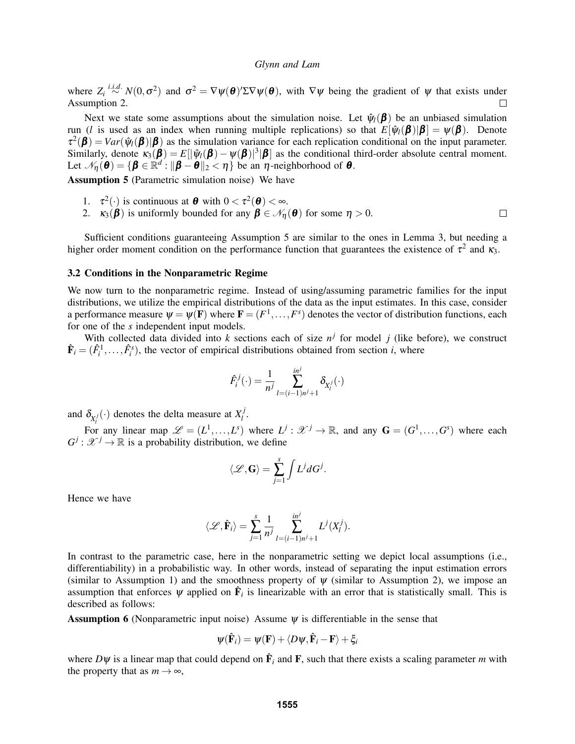where  $Z_i \stackrel{i.i.d.}{\sim} N(0, \sigma^2)$  and  $\sigma^2 = \nabla \psi(\boldsymbol{\theta})' \Sigma \nabla \psi(\boldsymbol{\theta})$ , with  $\nabla \psi$  being the gradient of  $\psi$  that exists under Assumption 2.  $\Box$ 

Next we state some assumptions about the simulation noise. Let  $\hat{\psi}_{l}(\boldsymbol{\beta})$  be an unbiased simulation run (*l* is used as an index when running multiple replications) so that  $E[\hat{\psi}_{l}(\boldsymbol{\beta})|\boldsymbol{\beta}] = \psi(\boldsymbol{\beta})$ . Denote  $\tau^2(\boldsymbol{\beta}) = Var(\hat{\psi}_l(\boldsymbol{\beta}) | \boldsymbol{\beta})$  as the simulation variance for each replication conditional on the input parameter. Similarly, denote  $\kappa_3(\boldsymbol{\beta}) = E[|\hat{\psi}_l(\boldsymbol{\beta}) - \psi(\boldsymbol{\beta})|^3|\boldsymbol{\beta}]$  as the conditional third-order absolute central moment. Let  $\mathcal{N}_{\eta}(\boldsymbol{\theta}) = \{ \boldsymbol{\beta} \in \mathbb{R}^d : ||\boldsymbol{\beta} - \boldsymbol{\theta}||_2 < \eta \}$  be an  $\eta$ -neighborhood of  $\boldsymbol{\theta}$ .

Assumption 5 (Parametric simulation noise) We have

- 1.  $\tau^2(\cdot)$  is continuous at  $\boldsymbol{\theta}$  with  $0 < \tau^2(\boldsymbol{\theta}) < \infty$ .
- 2.  $\kappa_3(\hat{\boldsymbol{\beta}})$  is uniformly bounded for any  $\hat{\boldsymbol{\beta}} \in \mathcal{N}_{\eta}(\boldsymbol{\theta})$  for some  $\eta > 0$ .  $\Box$

Sufficient conditions guaranteeing Assumption 5 are similar to the ones in Lemma 3, but needing a higher order moment condition on the performance function that guarantees the existence of  $\tau^2$  and  $\kappa_3$ .

### 3.2 Conditions in the Nonparametric Regime

We now turn to the nonparametric regime. Instead of using/assuming parametric families for the input distributions, we utilize the empirical distributions of the data as the input estimates. In this case, consider a performance measure  $\psi = \psi(\mathbf{F})$  where  $\mathbf{F} = (F^1, \dots, F^s)$  denotes the vector of distribution functions, each for one of the *s* independent input models.

With collected data divided into *k* sections each of size  $n^j$  for model *j* (like before), we construct  $\hat{\mathbf{F}}_i = (\hat{F}_i^1, \dots, \hat{F}_i^s)$ , the vector of empirical distributions obtained from section *i*, where

$$
\hat{F}_i^j(\cdot) = \frac{1}{n^j} \sum_{l=(i-1)n^j+1}^{in^j} \delta_{X_i^j}(\cdot)
$$

and  $\delta_{X_i^j}(\cdot)$  denotes the delta measure at  $X_i^j$ *l* .

For any linear map  $\mathscr{L} = (L^1, \ldots, L^s)$  where  $L^j : \mathscr{X}^j \to \mathbb{R}$ , and any  $\mathbf{G} = (G^1, \ldots, G^s)$  where each  $G^j$  :  $\mathcal{X}^j \to \mathbb{R}$  is a probability distribution, we define

$$
\langle \mathscr{L},\mathbf{G} \rangle = \sum_{j=1}^s \int L^j dG^j.
$$

Hence we have

$$
\langle \mathcal{L}, \hat{\mathbf{F}}_i \rangle = \sum_{j=1}^s \frac{1}{n^j} \sum_{l=(i-1)n^j+1}^{in^j} L^j(X_l^j).
$$

In contrast to the parametric case, here in the nonparametric setting we depict local assumptions (i.e., differentiability) in a probabilistic way. In other words, instead of separating the input estimation errors (similar to Assumption 1) and the smoothness property of  $\psi$  (similar to Assumption 2), we impose an assumption that enforces  $\psi$  applied on  $\hat{F}_i$  is linearizable with an error that is statistically small. This is described as follows:

**Assumption 6** (Nonparametric input noise) Assume  $\psi$  is differentiable in the sense that

$$
\psi(\hat{\mathbf{F}}_i) = \psi(\mathbf{F}) + \langle D\psi, \hat{\mathbf{F}}_i - \mathbf{F} \rangle + \xi_i
$$

where  $D\psi$  is a linear map that could depend on  $\hat{F}_i$  and F, such that there exists a scaling parameter m with the property that as  $m \to \infty$ ,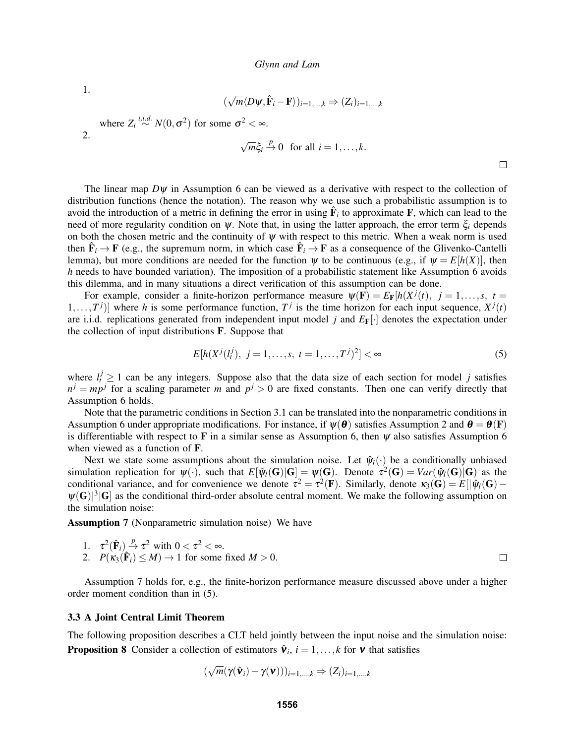1.

$$
(\sqrt{m}\langle D\psi, \hat{\mathbf{F}}_i - \mathbf{F} \rangle)_{i=1,\dots,k} \Rightarrow (Z_i)_{i=1,\dots,k}
$$

where  $Z_i \stackrel{i.i.d.}{\sim} N(0, \sigma^2)$  for some  $\sigma^2 < \infty$ . 2. √  $\sqrt{}$ 

$$
\sqrt{m}\xi_i \stackrel{p}{\to} 0 \text{ for all } i=1,\ldots,k.
$$

 $\Box$ 

The linear map  $D\psi$  in Assumption 6 can be viewed as a derivative with respect to the collection of distribution functions (hence the notation). The reason why we use such a probabilistic assumption is to avoid the introduction of a metric in defining the error in using  $\hat{F}_i$  to approximate  $F$ , which can lead to the need of more regularity condition on  $\psi$ . Note that, in using the latter approach, the error term  $\xi_i$  depends on both the chosen metric and the continuity of  $\psi$  with respect to this metric. When a weak norm is used then  $\hat{\mathbf{F}}_i \to \mathbf{F}$  (e.g., the supremum norm, in which case  $\hat{\mathbf{F}}_i \to \mathbf{F}$  as a consequence of the Glivenko-Cantelli lemma), but more conditions are needed for the function  $\psi$  to be continuous (e.g., if  $\psi = E[h(X)]$ , then *h* needs to have bounded variation). The imposition of a probabilistic statement like Assumption 6 avoids this dilemma, and in many situations a direct verification of this assumption can be done.

For example, consider a finite-horizon performance measure  $\psi(\mathbf{F}) = E_{\mathbf{F}}[h(X^{j}(t)), j = 1, ..., s, t =$  $[1, \ldots, T^j]$  where *h* is some performance function,  $T^j$  is the time horizon for each input sequence,  $X^j(t)$ are i.i.d. replications generated from independent input model *j* and  $E_F[\cdot]$  denotes the expectation under the collection of input distributions F. Suppose that

$$
E[h(X^{j}(l_{t}^{j}), j = 1, ..., s, t = 1, ..., T^{j})^{2}] < \infty
$$
\n(5)

where  $l_t^j \geq 1$  can be any integers. Suppose also that the data size of each section for model *j* satisfies  $n^j = mp^j$  for a scaling parameter *m* and  $p^j > 0$  are fixed constants. Then one can verify directly that Assumption 6 holds.

Note that the parametric conditions in Section 3.1 can be translated into the nonparametric conditions in Assumption 6 under appropriate modifications. For instance, if  $\psi(\theta)$  satisfies Assumption 2 and  $\theta = \theta(\mathbf{F})$ is differentiable with respect to F in a similar sense as Assumption 6, then  $\psi$  also satisfies Assumption 6 when viewed as a function of F.

Next we state some assumptions about the simulation noise. Let  $\hat{\psi}_l(\cdot)$  be a conditionally unbiased simulation replication for  $\psi(\cdot)$ , such that  $E[\hat{\psi}_l(G)|G] = \psi(G)$ . Denote  $\tau^2(G) = Var(\hat{\psi}_l(G)|G)$  as the conditional variance, and for convenience we denote  $\tau^2 = \tau^2(\mathbf{F})$ . Similarly, denote  $\kappa_3(\mathbf{G}) = E[|\hat{\psi}_l(\mathbf{G}) - \hat{\psi}_l(\mathbf{G})|]$  $\psi(G)|^3|G|$  as the conditional third-order absolute central moment. We make the following assumption on the simulation noise:

Assumption 7 (Nonparametric simulation noise) We have

1. 
$$
\tau^2(\hat{\mathbf{F}}_i) \stackrel{p}{\rightarrow} \tau^2
$$
 with  $0 < \tau^2 < \infty$ .  
\n2.  $P(\kappa_3(\hat{\mathbf{F}}_i) \leq M) \rightarrow 1$  for some fixed  $M > 0$ .

Assumption 7 holds for, e.g., the finite-horizon performance measure discussed above under a higher order moment condition than in (5).

#### 3.3 A Joint Central Limit Theorem

The following proposition describes a CLT held jointly between the input noise and the simulation noise: **Proposition 8** Consider a collection of estimators  $\hat{\mathbf{v}}_i$ ,  $i = 1, \dots, k$  for  $\mathbf{v}$  that satisfies

$$
(\sqrt{m}(\gamma(\hat{\mathbf{v}}_i) - \gamma(\mathbf{v})))_{i=1,\dots,k} \Rightarrow (Z_i)_{i=1,\dots,k}
$$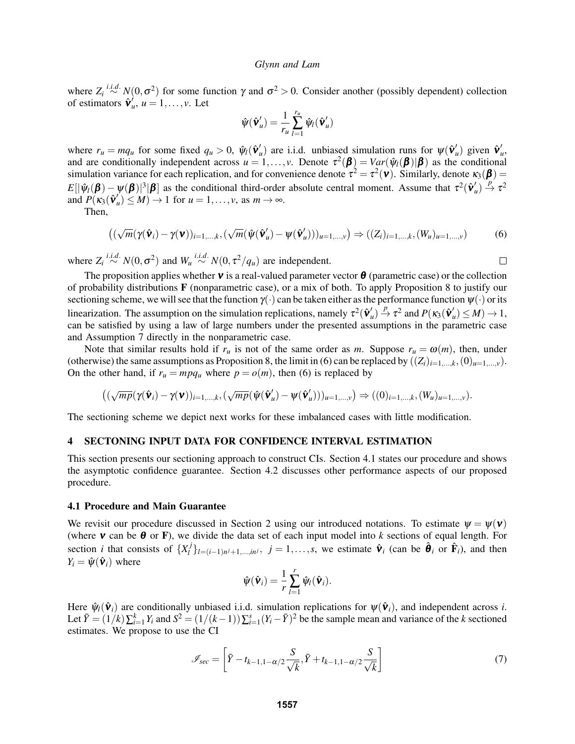where  $Z_i \stackrel{i.i.d.}{\sim} N(0, \sigma^2)$  for some function  $\gamma$  and  $\sigma^2 > 0$ . Consider another (possibly dependent) collection of estimators  $\hat{\mathbf{v}}_i'$  $u, u = 1, \ldots, v$ . Let

$$
\hat{\psi}(\hat{\mathbf{v}}_u') = \frac{1}{r_u} \sum_{l=1}^{r_u} \hat{\psi}_l(\hat{\mathbf{v}}_u')
$$

where  $r_u = mq_u$  for some fixed  $q_u > 0$ ,  $\hat{\psi}_l(\hat{\mathbf{v}}'_i)$  $\mathbf{w}'_u$ ) are i.i.d. unbiased simulation runs for  $\psi(\hat{\mathbf{v}}'_i)$  $u'$ ) given  $\hat{\mathbf{v}}_i'$ *u* , and are conditionally independent across  $u = 1, ..., v$ . Denote  $\tau^2(\boldsymbol{\beta}) = Var(\hat{\psi}_l(\boldsymbol{\beta}) | \boldsymbol{\beta})$  as the conditional simulation variance for each replication, and for convenience denote  $\tau^2=\tau^2(\nu)$ . Similarly, denote  $\kappa_3(\beta)=$  $E[|\hat{\psi}_l(\boldsymbol{\beta}) - \psi(\boldsymbol{\beta})|^3|\boldsymbol{\beta}]$  as the conditional third-order absolute central moment. Assume that  $\tau^2(\hat{\mathbf{v}}_i)$  $u'$   $\mapsto$   $\tau^2$ and  $P(\kappa_3(\hat{\mathbf{v}}_i))$  $u'$   $u \leq M$   $\rightarrow$  1 for  $u = 1, \ldots, v$ , as  $m \rightarrow \infty$ .

Then,

$$
((\sqrt{m}(\gamma(\hat{\mathbf{v}}_i)-\gamma(\mathbf{v}))_{i=1,\dots,k},(\sqrt{m}(\hat{\mathbf{v}}(\hat{\mathbf{v}}_u')-\mathbf{\psi}(\hat{\mathbf{v}}_u')))_{u=1,\dots,v}) \Rightarrow ((Z_i)_{i=1,\dots,k},(W_u)_{u=1,\dots,v})
$$
(6)

where  $Z_i \stackrel{i.i.d.}{\sim} N(0, \sigma^2)$  and  $W_u \stackrel{i.i.d.}{\sim} N(0, \tau^2/q_u)$  are independent.

 $\Box$ 

The proposition applies whether **v** is a real-valued parameter vector  $\theta$  (parametric case) or the collection of probability distributions F (nonparametric case), or a mix of both. To apply Proposition 8 to justify our sectioning scheme, we will see that the function  $\gamma(\cdot)$  can be taken either as the performance function  $\psi(\cdot)$  or its linearization. The assumption on the simulation replications, namely  $\tau^2(\hat{\mathbf{v}}_i^T)$  $u'$ <sub>u</sub>)  $\stackrel{p}{\rightarrow} \tau^2$  and  $P(\kappa_3(\hat{\mathbf{v}}_i')$  $'_{u}$ )  $\leq$  *M*)  $\rightarrow$  1, can be satisfied by using a law of large numbers under the presented assumptions in the parametric case and Assumption 7 directly in the nonparametric case.

Note that similar results hold if  $r_u$  is not of the same order as *m*. Suppose  $r_u = \omega(m)$ , then, under (otherwise) the same assumptions as Proposition 8, the limit in (6) can be replaced by  $((Z_i)_{i=1,\dots,k},(0)_{u=1,\dots,v})$ . On the other hand, if  $r_u = mpq_u$  where  $p = o(m)$ , then (6) is replaced by

$$
\big((\sqrt{mp}(\boldsymbol{\gamma}(\hat{\boldsymbol{\nu}}_i)-\boldsymbol{\gamma}(\boldsymbol{\nu}))_{i=1,\ldots,k},(\sqrt{mp}(\hat{\boldsymbol{\psi}}(\hat{\boldsymbol{\nu}}'_u)-\boldsymbol{\psi}(\hat{\boldsymbol{\nu}}'_u)))_{u=1,\ldots,\nu}\big)\Rightarrow((0)_{i=1,\ldots,k},(W_u)_{u=1,\ldots,\nu}).
$$

The sectioning scheme we depict next works for these imbalanced cases with little modification.

### 4 SECTONING INPUT DATA FOR CONFIDENCE INTERVAL ESTIMATION

This section presents our sectioning approach to construct CIs. Section 4.1 states our procedure and shows the asymptotic confidence guarantee. Section 4.2 discusses other performance aspects of our proposed procedure.

### 4.1 Procedure and Main Guarantee

We revisit our procedure discussed in Section 2 using our introduced notations. To estimate  $\psi = \psi(\mathbf{v})$ (where **v** can be  $\theta$  or **F**), we divide the data set of each input model into *k* sections of equal length. For section *i* that consists of  $\{X_i^j\}$  $\hat{\mathbf{v}}_i$  / $\hat{\mathbf{v}}_i$  /*i* = 1,...,*s*, we estimate  $\hat{\mathbf{v}}_i$  (can be  $\hat{\mathbf{\theta}}_i$  or  $\hat{\mathbf{F}}_i$ ), and then  $Y_i = \hat{\psi}(\hat{\mathbf{v}}_i)$  where

$$
\hat{\psi}(\hat{\mathbf{v}}_i) = \frac{1}{r} \sum_{l=1}^r \hat{\psi}_l(\hat{\mathbf{v}}_i).
$$

Here  $\hat{\psi}_l(\hat{\mathbf{v}}_i)$  are conditionally unbiased i.i.d. simulation replications for  $\psi(\hat{\mathbf{v}}_i)$ , and independent across *i*. Let  $\bar{Y} = (1/k)\sum_{i=1}^{k} Y_i$  and  $S^2 = (1/(k-1))\sum_{i=1}^{s} (Y_i - \bar{Y})^2$  be the sample mean and variance of the *k* sectioned estimates. We propose to use the CI

$$
\mathscr{I}_{sec} = \left[ \bar{Y} - t_{k-1,1-\alpha/2} \frac{S}{\sqrt{k}}, \bar{Y} + t_{k-1,1-\alpha/2} \frac{S}{\sqrt{k}} \right]
$$
(7)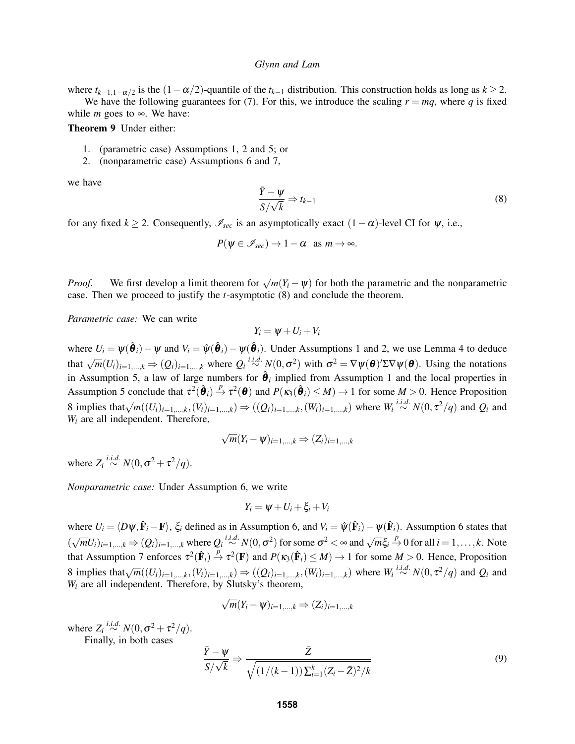where  $t_{k-1,1-\alpha/2}$  is the  $(1-\alpha/2)$ -quantile of the  $t_{k-1}$  distribution. This construction holds as long as  $k \ge 2$ . We have the following guarantees for (7). For this, we introduce the scaling  $r = mq$ , where q is fixed while *m* goes to  $\infty$ . We have:

Theorem 9 Under either:

- 1. (parametric case) Assumptions 1, 2 and 5; or
- 2. (nonparametric case) Assumptions 6 and 7,

we have

$$
\frac{\bar{Y} - \psi}{S / \sqrt{k}} \Rightarrow t_{k-1} \tag{8}
$$

for any fixed  $k \ge 2$ . Consequently,  $\mathscr{I}_{\text{sec}}$  is an asymptotically exact  $(1-\alpha)$ -level CI for  $\psi$ , i.e.,

$$
P(\psi \in \mathscr{I}_{sec}) \to 1 - \alpha \text{ as } m \to \infty.
$$

*Proof.* We first develop a limit theorem for  $\sqrt{m}(Y_i - \psi)$  for both the parametric and the nonparametric case. Then we proceed to justify the *t*-asymptotic (8) and conclude the theorem.

*Parametric case:* We can write

$$
Y_i = \psi + U_i + V_i
$$

where  $U_i = \psi(\hat{\theta}_i) - \psi$  and  $V_i = \hat{\psi}(\hat{\theta}_i) - \psi(\hat{\theta}_i)$ . Under Assumptions 1 and 2, we use Lemma 4 to deduce that  $\sqrt{m}(U_i)_{i=1,\dots,k} \Rightarrow (Q_i)_{i=1,\dots,k}$  where  $Q_i \stackrel{i.i.d.}{\sim} N(0,\sigma^2)$  with  $\sigma^2 = \nabla \psi(\theta) \Sigma \nabla \psi(\theta)$ . Using the notations in Assumption 5, a law of large numbers for  $\hat{\theta}_i$  implied from Assumption 1 and the local properties in Assumption 5 conclude that  $\tau^2(\hat{\theta}_i) \stackrel{p}{\to} \tau^2(\theta)$  and  $P(\kappa_3(\hat{\theta}_i) \leq M) \to 1$  for some  $M > 0$ . Hence Proposition 8 implies that  $\sqrt{m}((U_i)_{i=1,\dots,k}, (V_i)_{i=1,\dots,k}) \Rightarrow ((Q_i)_{i=1,\dots,k}, (W_i)_{i=1,\dots,k})$  where  $W_i \stackrel{i.i.d.}{\sim} N(0, \tau^2/q)$  and  $Q_i$  and *W<sup>i</sup>* are all independent. Therefore,

$$
\sqrt{m}(Y_i-\psi)_{i=1,\dots,k}\Rightarrow (Z_i)_{i=1,\dots,k}
$$

where  $Z_i \stackrel{i.i.d.}{\sim} N(0, \sigma^2 + \tau^2/q)$ .

*Nonparametric case:* Under Assumption 6, we write

$$
Y_i = \psi + U_i + \xi_i + V_i
$$

where  $U_i = \langle D\psi, \hat{\mathbf{F}}_i - \mathbf{F} \rangle$ ,  $\xi_i$  defined as in Assumption 6, and  $V_i = \hat{\psi}(\hat{\mathbf{F}}_i) - \psi(\hat{\mathbf{F}}_i)$ . Assumption 6 states that  $(\sqrt{m}U_i)_{i=1,\dots,k} \Rightarrow (Q_i)_{i=1,\dots,k}$  where  $Q_i \stackrel{i.i.d.}{\sim} N(0, \sigma^2)$  for some  $\sigma^2 < \infty$  and  $\sqrt{m}\xi_i \stackrel{p}{\rightarrow} 0$  for all  $i = 1,\dots,k$ . Note that Assumption 7 enforces  $\tau^2(\hat{\mathbf{F}}_i) \stackrel{p}{\to} \tau^2(\mathbf{F})$  and  $P(\kappa_3(\hat{\mathbf{F}}_i) \leq M) \to 1$  for some  $M > 0$ . Hence, Proposition 8 implies that  $\sqrt{m}((U_i)_{i=1,...,k}, (V_i)_{i=1,...,k}) \Rightarrow ((Q_i)_{i=1,...,k}, (W_i)_{i=1,...,k})$  where  $W_i \stackrel{i.i.d.}{\sim} N(0, \tau^2/q)$  and  $Q_i$  and *W<sup>i</sup>* are all independent. Therefore, by Slutsky's theorem,

$$
\sqrt{m}(Y_i-\psi)_{i=1,\dots,k}\Rightarrow (Z_i)_{i=1,\dots,k}
$$

where  $Z_i \stackrel{i.i.d.}{\sim} N(0, \sigma^2 + \tau^2/q)$ .

Finally, in both cases

$$
\frac{\bar{Y} - \psi}{S/\sqrt{k}} \Rightarrow \frac{\bar{Z}}{\sqrt{(1/(k-1))\sum_{i=1}^{k}(Z_i - \bar{Z})^2/k}}
$$
(9)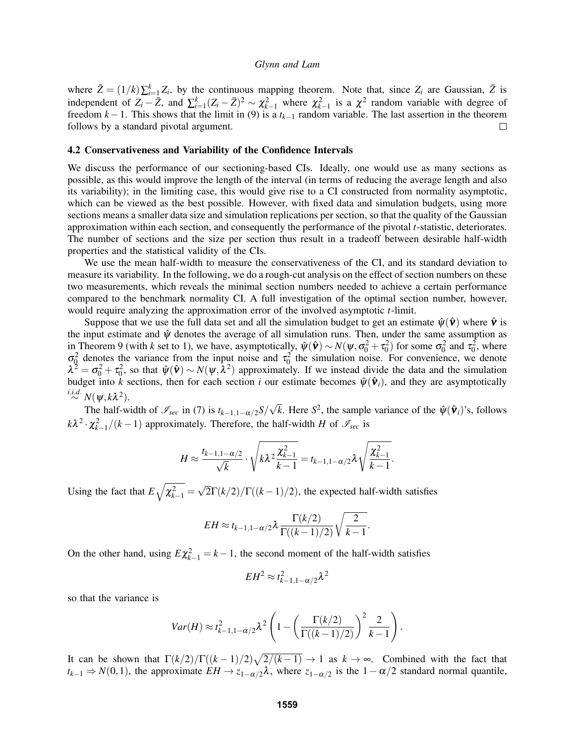where  $\bar{Z} = (1/k)\sum_{i=1}^{k} Z_i$ , by the continuous mapping theorem. Note that, since  $Z_i$  are Gaussian,  $\bar{Z}$  is independent of  $Z_i - \bar{Z}$ , and  $\sum_{i=1}^k (Z_i - \bar{Z})^2 \sim \chi^2_{k-1}$  where  $\chi^2_{k-1}$  is a  $\chi^2$  random variable with degree of freedom *k*−1. This shows that the limit in (9) is a *tk*−<sup>1</sup> random variable. The last assertion in the theorem follows by a standard pivotal argument.  $\Box$ 

### 4.2 Conservativeness and Variability of the Confidence Intervals

We discuss the performance of our sectioning-based CIs. Ideally, one would use as many sections as possible, as this would improve the length of the interval (in terms of reducing the average length and also its variability); in the limiting case, this would give rise to a CI constructed from normality asymptotic, which can be viewed as the best possible. However, with fixed data and simulation budgets, using more sections means a smaller data size and simulation replications per section, so that the quality of the Gaussian approximation within each section, and consequently the performance of the pivotal *t*-statistic, deteriorates. The number of sections and the size per section thus result in a tradeoff between desirable half-width properties and the statistical validity of the CIs.

We use the mean half-width to measure the conservativeness of the CI, and its standard deviation to measure its variability. In the following, we do a rough-cut analysis on the effect of section numbers on these two measurements, which reveals the minimal section numbers needed to achieve a certain performance compared to the benchmark normality CI. A full investigation of the optimal section number, however, would require analyzing the approximation error of the involved asymptotic *t*-limit.

Suppose that we use the full data set and all the simulation budget to get an estimate  $\hat{\psi}(\hat{\mathbf{v}})$  where  $\hat{\mathbf{v}}$  is the input estimate and  $\hat{\psi}$  denotes the average of all simulation runs. Then, under the same assumption as in Theorem 9 (with *k* set to 1), we have, asymptotically,  $\hat{\psi}(\hat{\mathbf{v}}) \sim N(\psi, \sigma_0^2 + \tau_0^2)$  for some  $\sigma_0^2$  and  $\tau_0^2$ , where  $\sigma_0^2$  denotes the variance from the input noise and  $\tau_0^2$  the simulation noise. For convenience, we denote  $\lambda^2 = \sigma_0^2 + \tau_0^2$ , so that  $\hat{\psi}(\hat{\mathbf{v}}) \sim N(\psi, \bar{\lambda}^2)$  approximately. If we instead divide the data and the simulation budget into  $\hat{k}$  sections, then for each section *i* our estimate becomes  $\hat{\psi}(\hat{\mathbf{v}}_i)$ , and they are asymptotically  $\stackrel{i.i.d.}{\sim} N(\psi, k\lambda^2)$ . √

The half-width of  $\mathscr{I}_{\text{sec}}$  in (7) is  $t_{k-1,1-\alpha/2}S/$  $\overline{k}$ . Here *S*<sup>2</sup>, the sample variance of the  $\hat{\psi}(\hat{\mathbf{v}}_i)$ 's, follows  $k\lambda^2 \cdot \chi^2_{k-1}/(k-1)$  approximately. Therefore, the half-width *H* of  $\mathscr{I}_{sec}$  is

$$
H \approx \frac{t_{k-1,1-\alpha/2}}{\sqrt{k}} \cdot \sqrt{k\lambda^2 \frac{\chi_{k-1}^2}{k-1}} = t_{k-1,1-\alpha/2} \lambda \sqrt{\frac{\chi_{k-1}^2}{k-1}}.
$$

Using the fact that  $E\sqrt{\chi^2_{k-1}} =$ √  $2\Gamma(k/2)/\Gamma((k-1)/2)$ , the expected half-width satisfies

$$
EH \approx t_{k-1,1-\alpha/2} \lambda \frac{\Gamma(k/2)}{\Gamma((k-1)/2)} \sqrt{\frac{2}{k-1}}.
$$

On the other hand, using  $E\chi_{k-1}^2 = k - 1$ , the second moment of the half-width satisfies

$$
EH^2 \approx t_{k-1,1-\alpha/2}^2 \lambda^2
$$

so that the variance is

$$
Var(H) \approx t_{k-1,1-\alpha/2}^2 \lambda^2 \left(1 - \left(\frac{\Gamma(k/2)}{\Gamma((k-1)/2)}\right)^2 \frac{2}{k-1}\right).
$$

It can be shown that  $\Gamma(k/2)/\Gamma((k-1)/2)\sqrt{2/(k-1)} \to 1$  as  $k \to \infty$ . Combined with the fact that  $t_{k-1} \Rightarrow N(0,1)$ , the approximate  $EH \to z_{1-\alpha/2}\lambda$ , where  $z_{1-\alpha/2}$  is the  $1-\alpha/2$  standard normal quantile,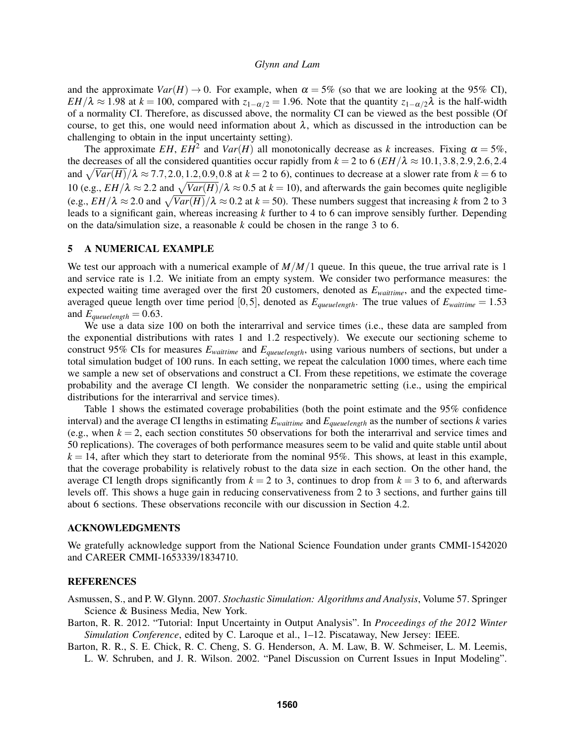and the approximate  $Var(H) \rightarrow 0$ . For example, when  $\alpha = 5\%$  (so that we are looking at the 95% CI), *EH*/ $\lambda \approx 1.98$  at  $k = 100$ , compared with  $z_{1-\alpha/2} = 1.96$ . Note that the quantity  $z_{1-\alpha/2}\lambda$  is the half-width of a normality CI. Therefore, as discussed above, the normality CI can be viewed as the best possible (Of course, to get this, one would need information about  $\lambda$ , which as discussed in the introduction can be challenging to obtain in the input uncertainty setting).

The approximate *EH*,  $EH^2$  and  $Var(H)$  all monotonically decrease as *k* increases. Fixing  $\alpha = 5\%$ , the decreases of all the considered quantities occur rapidly from  $k = 2$  to 6 ( $EH/\lambda \approx 10.1, 3.8, 2.9, 2.6, 2.4$ ) and  $\sqrt{Var(H)}$ / $\lambda \approx 7.7, 2.0, 1.2, 0.9, 0.8$  at  $k = 2$  to 6), continues to decrease at a slower rate from  $k = 6$  to 10 (e.g.,  $EH/\lambda \approx 2.2$  and  $\sqrt{Var(H)}/\lambda \approx 0.5$  at  $k = 10$ ), and afterwards the gain becomes quite negligible (e.g.,  $EH/\lambda \approx 2.0$  and  $\sqrt{Var(H)}/\lambda \approx 0.2$  at  $k = 50$ ). These numbers suggest that increasing k from 2 to 3 leads to a significant gain, whereas increasing *k* further to 4 to 6 can improve sensibly further. Depending on the data/simulation size, a reasonable *k* could be chosen in the range 3 to 6.

# 5 A NUMERICAL EXAMPLE

We test our approach with a numerical example of  $M/M/1$  queue. In this queue, the true arrival rate is 1 and service rate is 1.2. We initiate from an empty system. We consider two performance measures: the expected waiting time averaged over the first 20 customers, denoted as  $E_{\text{waittime}}$ , and the expected timeaveraged queue length over time period  $[0,5]$ , denoted as  $E_{quewelength}$ . The true values of  $E_{withinte} = 1.53$ and  $E_{queuelength} = 0.63$ .

We use a data size 100 on both the interarrival and service times (i.e., these data are sampled from the exponential distributions with rates 1 and 1.2 respectively). We execute our sectioning scheme to construct 95% CIs for measures *Ewaittime* and *Equeuelength*, using various numbers of sections, but under a total simulation budget of 100 runs. In each setting, we repeat the calculation 1000 times, where each time we sample a new set of observations and construct a CI. From these repetitions, we estimate the coverage probability and the average CI length. We consider the nonparametric setting (i.e., using the empirical distributions for the interarrival and service times).

Table 1 shows the estimated coverage probabilities (both the point estimate and the 95% confidence interval) and the average CI lengths in estimating *Ewaittime* and *Equeuelength* as the number of sections *k* varies (e.g., when  $k = 2$ , each section constitutes 50 observations for both the interarrival and service times and 50 replications). The coverages of both performance measures seem to be valid and quite stable until about  $k = 14$ , after which they start to deteriorate from the nominal 95%. This shows, at least in this example, that the coverage probability is relatively robust to the data size in each section. On the other hand, the average CI length drops significantly from  $k = 2$  to 3, continues to drop from  $k = 3$  to 6, and afterwards levels off. This shows a huge gain in reducing conservativeness from 2 to 3 sections, and further gains till about 6 sections. These observations reconcile with our discussion in Section 4.2.

### ACKNOWLEDGMENTS

We gratefully acknowledge support from the National Science Foundation under grants CMMI-1542020 and CAREER CMMI-1653339/1834710.

# REFERENCES

Asmussen, S., and P. W. Glynn. 2007. *Stochastic Simulation: Algorithms and Analysis*, Volume 57. Springer Science & Business Media, New York.

- Barton, R. R. 2012. "Tutorial: Input Uncertainty in Output Analysis". In *Proceedings of the 2012 Winter Simulation Conference*, edited by C. Laroque et al., 1–12. Piscataway, New Jersey: IEEE.
- Barton, R. R., S. E. Chick, R. C. Cheng, S. G. Henderson, A. M. Law, B. W. Schmeiser, L. M. Leemis, L. W. Schruben, and J. R. Wilson. 2002. "Panel Discussion on Current Issues in Input Modeling".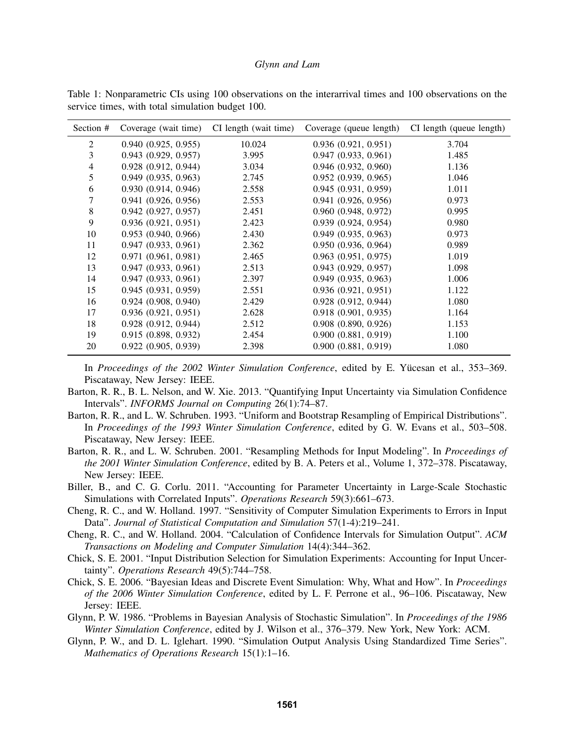| Section #      | Coverage (wait time)     | CI length (wait time) | Coverage (queue length)  | CI length (queue length) |
|----------------|--------------------------|-----------------------|--------------------------|--------------------------|
| 2              | 0.940(0.925, 0.955)      | 10.024                | 0.936(0.921, 0.951)      | 3.704                    |
| 3              | 0.943(0.929, 0.957)      | 3.995                 | 0.947(0.933, 0.961)      | 1.485                    |
| $\overline{4}$ | $0.928$ $(0.912, 0.944)$ | 3.034                 | $0.946$ $(0.932, 0.960)$ | 1.136                    |
| 5              | 0.949(0.935, 0.963)      | 2.745                 | 0.952(0.939, 0.965)      | 1.046                    |
| 6              | 0.930 (0.914, 0.946)     | 2.558                 | 0.945(0.931, 0.959)      | 1.011                    |
| 7              | 0.941(0.926, 0.956)      | 2.553                 | 0.941(0.926, 0.956)      | 0.973                    |
| 8              | 0.942(0.927, 0.957)      | 2.451                 | 0.960(0.948, 0.972)      | 0.995                    |
| 9              | 0.936(0.921, 0.951)      | 2.423                 | 0.939(0.924, 0.954)      | 0.980                    |
| 10             | 0.953(0.940, 0.966)      | 2.430                 | $0.949$ $(0.935, 0.963)$ | 0.973                    |
| 11             | 0.947(0.933, 0.961)      | 2.362                 | 0.950(0.936, 0.964)      | 0.989                    |
| 12             | 0.971(0.961, 0.981)      | 2.465                 | $0.963$ $(0.951, 0.975)$ | 1.019                    |
| 13             | 0.947(0.933, 0.961)      | 2.513                 | $0.943$ $(0.929, 0.957)$ | 1.098                    |
| 14             | 0.947(0.933, 0.961)      | 2.397                 | 0.949(0.935, 0.963)      | 1.006                    |
| 15             | 0.945(0.931, 0.959)      | 2.551                 | 0.936(0.921, 0.951)      | 1.122                    |
| 16             | 0.924(0.908, 0.940)      | 2.429                 | $0.928$ $(0.912, 0.944)$ | 1.080                    |
| 17             | 0.936(0.921, 0.951)      | 2.628                 | 0.918(0.901, 0.935)      | 1.164                    |
| 18             | 0.928(0.912, 0.944)      | 2.512                 | $0.908$ $(0.890, 0.926)$ | 1.153                    |
| 19             | 0.915(0.898, 0.932)      | 2.454                 | 0.900(0.881, 0.919)      | 1.100                    |
| 20             | 0.922(0.905, 0.939)      | 2.398                 | 0.900(0.881, 0.919)      | 1.080                    |

Table 1: Nonparametric CIs using 100 observations on the interarrival times and 100 observations on the service times, with total simulation budget 100.

In *Proceedings of the 2002 Winter Simulation Conference*, edited by E. Yücesan et al., 353–369. Piscataway, New Jersey: IEEE.

- Barton, R. R., B. L. Nelson, and W. Xie. 2013. "Quantifying Input Uncertainty via Simulation Confidence Intervals". *INFORMS Journal on Computing* 26(1):74–87.
- Barton, R. R., and L. W. Schruben. 1993. "Uniform and Bootstrap Resampling of Empirical Distributions". In *Proceedings of the 1993 Winter Simulation Conference*, edited by G. W. Evans et al., 503–508. Piscataway, New Jersey: IEEE.
- Barton, R. R., and L. W. Schruben. 2001. "Resampling Methods for Input Modeling". In *Proceedings of the 2001 Winter Simulation Conference*, edited by B. A. Peters et al., Volume 1, 372–378. Piscataway, New Jersey: IEEE.
- Biller, B., and C. G. Corlu. 2011. "Accounting for Parameter Uncertainty in Large-Scale Stochastic Simulations with Correlated Inputs". *Operations Research* 59(3):661–673.
- Cheng, R. C., and W. Holland. 1997. "Sensitivity of Computer Simulation Experiments to Errors in Input Data". *Journal of Statistical Computation and Simulation* 57(1-4):219–241.
- Cheng, R. C., and W. Holland. 2004. "Calculation of Confidence Intervals for Simulation Output". *ACM Transactions on Modeling and Computer Simulation* 14(4):344–362.
- Chick, S. E. 2001. "Input Distribution Selection for Simulation Experiments: Accounting for Input Uncertainty". *Operations Research* 49(5):744–758.
- Chick, S. E. 2006. "Bayesian Ideas and Discrete Event Simulation: Why, What and How". In *Proceedings of the 2006 Winter Simulation Conference*, edited by L. F. Perrone et al., 96–106. Piscataway, New Jersey: IEEE.
- Glynn, P. W. 1986. "Problems in Bayesian Analysis of Stochastic Simulation". In *Proceedings of the 1986 Winter Simulation Conference*, edited by J. Wilson et al., 376–379. New York, New York: ACM.
- Glynn, P. W., and D. L. Iglehart. 1990. "Simulation Output Analysis Using Standardized Time Series". *Mathematics of Operations Research* 15(1):1–16.